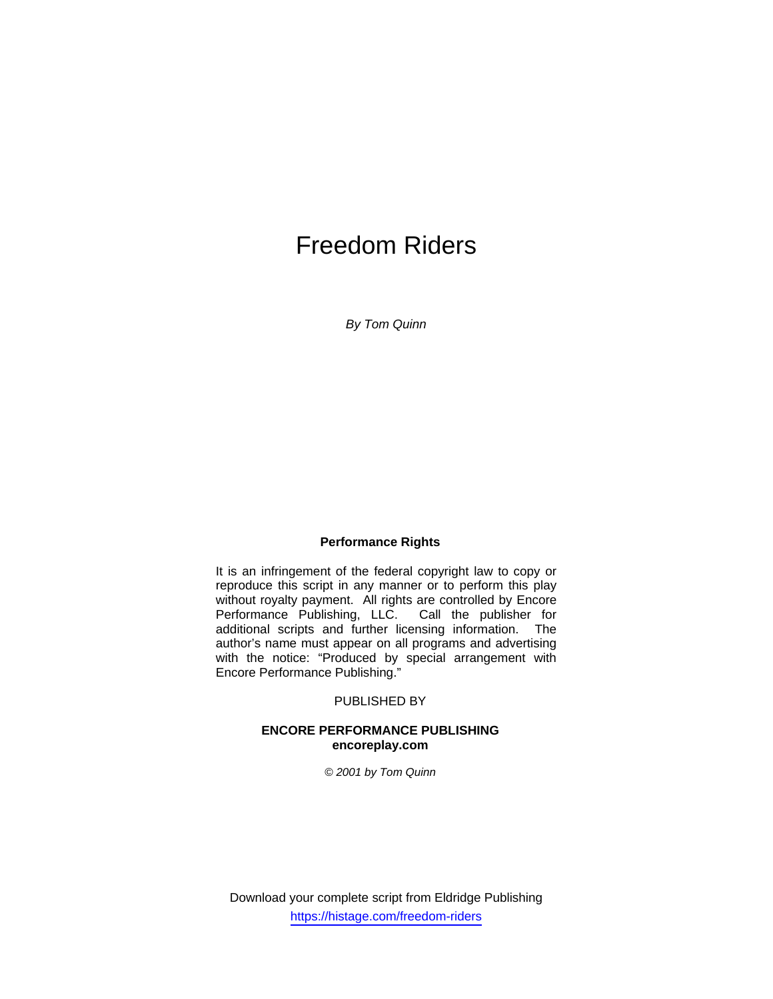# Freedom Riders

*By Tom Quinn* 

## **Performance Rights**

It is an infringement of the federal copyright law to copy or reproduce this script in any manner or to perform this play without royalty payment. All rights are controlled by Encore<br>Performance Publishing, LLC. Call the publisher for Performance Publishing, LLC. additional scripts and further licensing information. The author's name must appear on all programs and advertising with the notice: "Produced by special arrangement with Encore Performance Publishing."

## PUBLISHED BY

## **ENCORE PERFORMANCE PUBLISHING encoreplay.com**

*© 2001 by Tom Quinn* 

Download your complete script from Eldridge Publishing https://histage.com/freedom-riders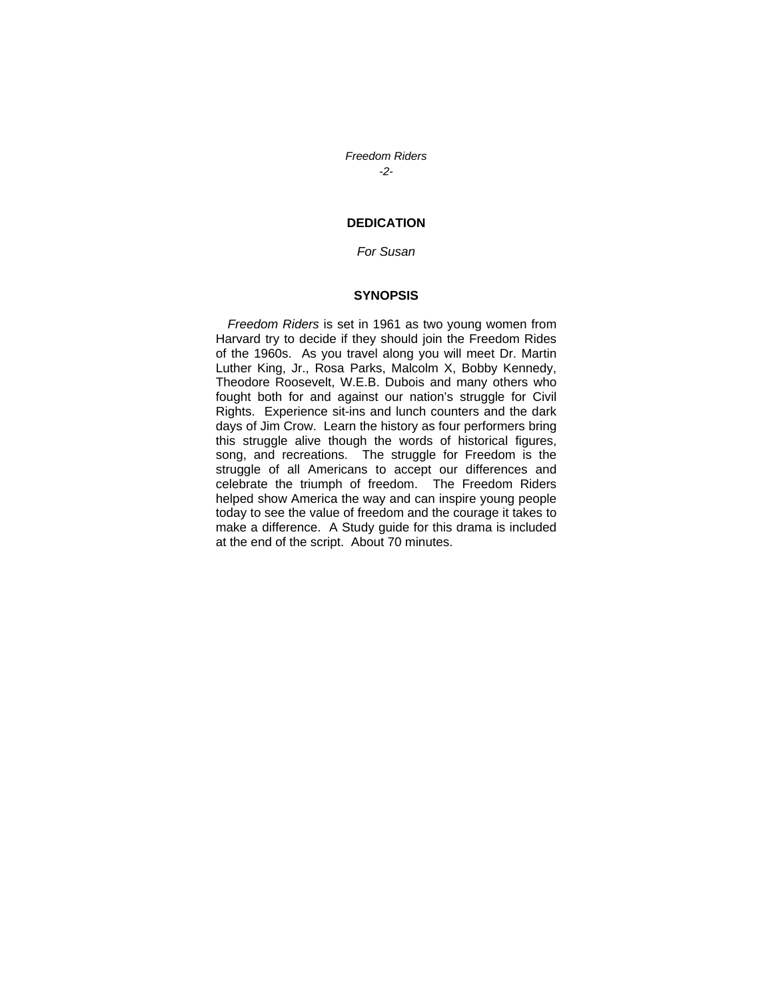*Freedom Riders -2-* 

## **DEDICATION**

## *For Susan*

#### **SYNOPSIS**

*Freedom Riders* is set in 1961 as two young women from Harvard try to decide if they should join the Freedom Rides of the 1960s. As you travel along you will meet Dr. Martin Luther King, Jr., Rosa Parks, Malcolm X, Bobby Kennedy, Theodore Roosevelt, W.E.B. Dubois and many others who fought both for and against our nation's struggle for Civil Rights. Experience sit-ins and lunch counters and the dark days of Jim Crow. Learn the history as four performers bring this struggle alive though the words of historical figures, song, and recreations. The struggle for Freedom is the struggle of all Americans to accept our differences and celebrate the triumph of freedom. The Freedom Riders helped show America the way and can inspire young people today to see the value of freedom and the courage it takes to make a difference. A Study guide for this drama is included at the end of the script. About 70 minutes.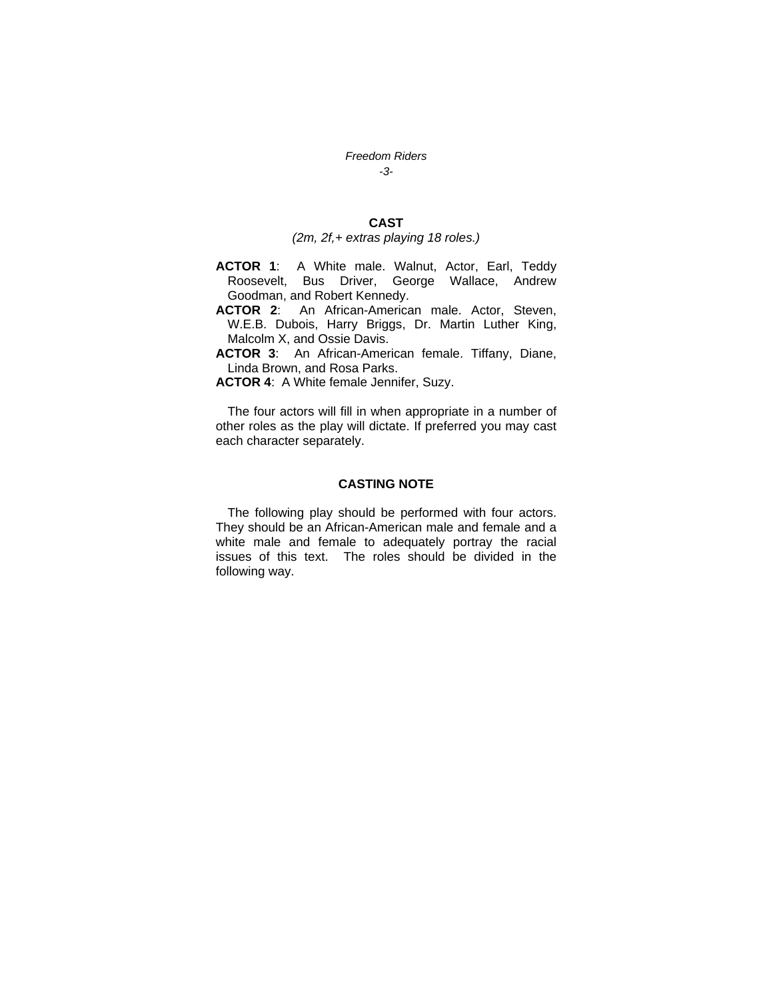#### *Freedom Riders*

*-3-* 

## **CAST**

#### *(2m, 2f,+ extras playing 18 roles.)*

- **ACTOR 1**: A White male. Walnut, Actor, Earl, Teddy Roosevelt, Bus Driver, George Wallace, Andrew Goodman, and Robert Kennedy.
- **ACTOR 2**: An African-American male. Actor, Steven, W.E.B. Dubois, Harry Briggs, Dr. Martin Luther King, Malcolm X, and Ossie Davis.
- **ACTOR 3**: An African-American female. Tiffany, Diane, Linda Brown, and Rosa Parks.
- **ACTOR 4**: A White female Jennifer, Suzy.

The four actors will fill in when appropriate in a number of other roles as the play will dictate. If preferred you may cast each character separately.

#### **CASTING NOTE**

The following play should be performed with four actors. They should be an African-American male and female and a white male and female to adequately portray the racial issues of this text. The roles should be divided in the following way.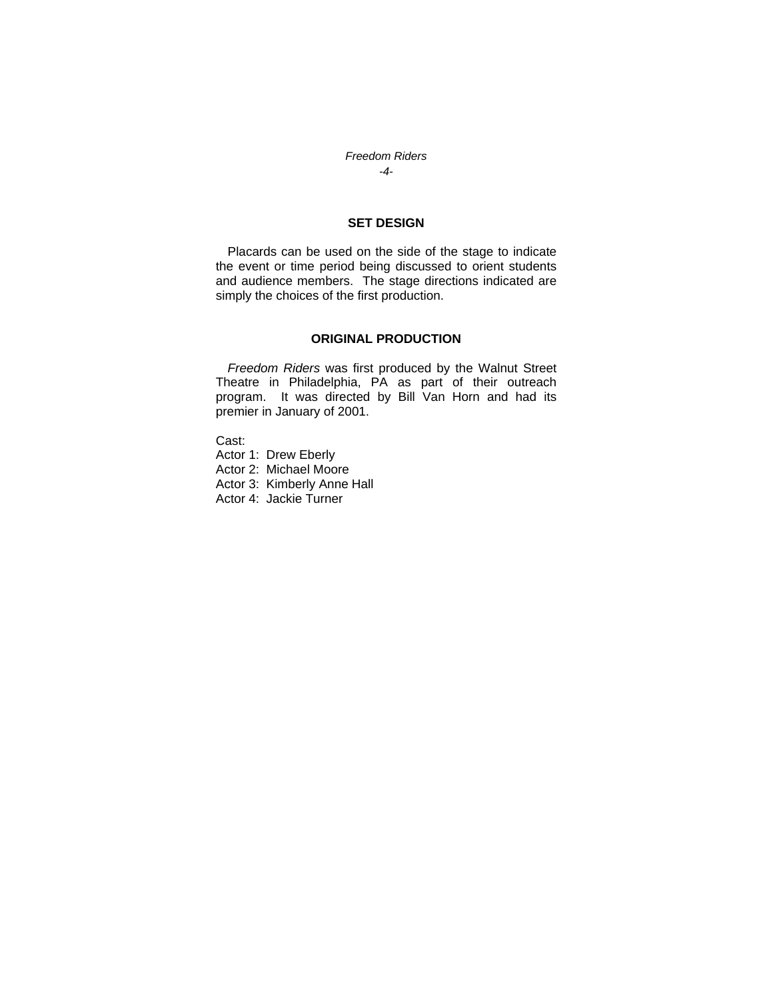## *Freedom Riders -4-*

## **SET DESIGN**

Placards can be used on the side of the stage to indicate the event or time period being discussed to orient students and audience members. The stage directions indicated are simply the choices of the first production.

## **ORIGINAL PRODUCTION**

*Freedom Riders* was first produced by the Walnut Street Theatre in Philadelphia, PA as part of their outreach program. It was directed by Bill Van Horn and had its premier in January of 2001.

Cast:

Actor 1: Drew Eberly Actor 2: Michael Moore Actor 3: Kimberly Anne Hall Actor 4: Jackie Turner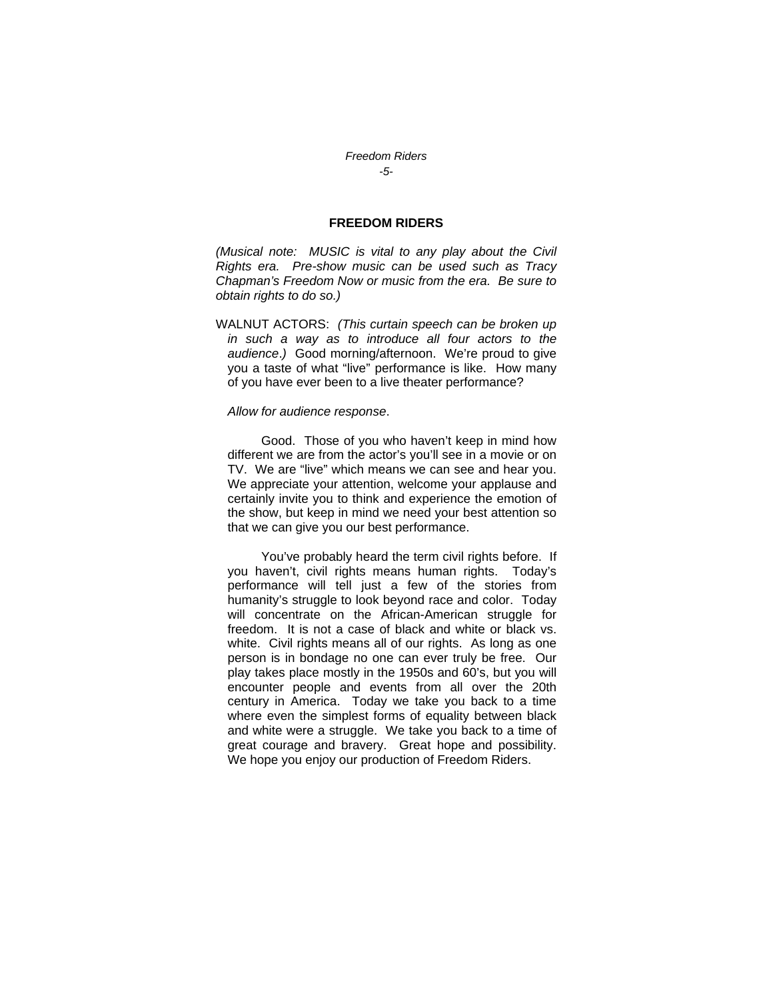#### *Freedom Riders -5-*

## **FREEDOM RIDERS**

*(Musical note: MUSIC is vital to any play about the Civil Rights era. Pre-show music can be used such as Tracy Chapman's Freedom Now or music from the era. Be sure to obtain rights to do so.)* 

WALNUT ACTORS: *(This curtain speech can be broken up in such a way as to introduce all four actors to the audience*.*)* Good morning/afternoon. We're proud to give you a taste of what "live" performance is like. How many of you have ever been to a live theater performance?

#### *Allow for audience response*.

 Good. Those of you who haven't keep in mind how different we are from the actor's you'll see in a movie or on TV. We are "live" which means we can see and hear you. We appreciate your attention, welcome your applause and certainly invite you to think and experience the emotion of the show, but keep in mind we need your best attention so that we can give you our best performance.

 You've probably heard the term civil rights before. If you haven't, civil rights means human rights. Today's performance will tell just a few of the stories from humanity's struggle to look beyond race and color. Today will concentrate on the African-American struggle for freedom. It is not a case of black and white or black vs. white. Civil rights means all of our rights. As long as one person is in bondage no one can ever truly be free. Our play takes place mostly in the 1950s and 60's, but you will encounter people and events from all over the 20th century in America. Today we take you back to a time where even the simplest forms of equality between black and white were a struggle. We take you back to a time of great courage and bravery. Great hope and possibility. We hope you enjoy our production of Freedom Riders.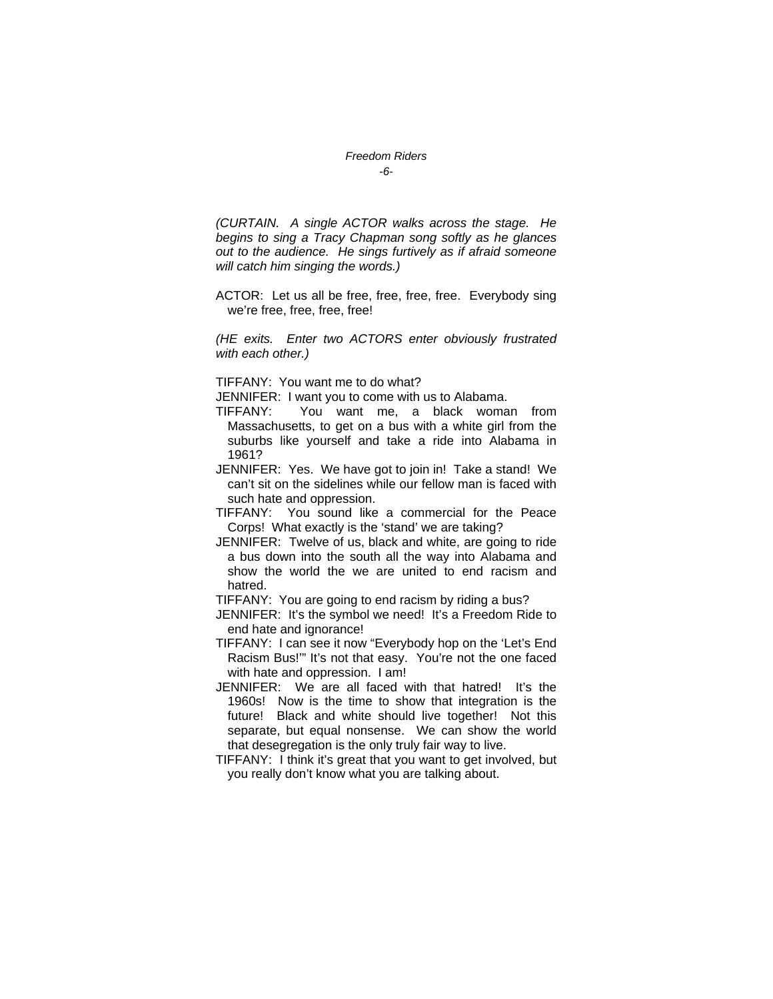#### *Freedom Riders -6-*

*(CURTAIN. A single ACTOR walks across the stage. He begins to sing a Tracy Chapman song softly as he glances out to the audience. He sings furtively as if afraid someone will catch him singing the words.)* 

ACTOR: Let us all be free, free, free, free. Everybody sing we're free, free, free, free!

*(HE exits. Enter two ACTORS enter obviously frustrated with each other.)* 

TIFFANY: You want me to do what?

JENNIFER: I want you to come with us to Alabama.

- TIFFANY: You want me, a black woman from Massachusetts, to get on a bus with a white girl from the suburbs like yourself and take a ride into Alabama in 1961?
- JENNIFER: Yes. We have got to join in! Take a stand! We can't sit on the sidelines while our fellow man is faced with such hate and oppression.
- TIFFANY: You sound like a commercial for the Peace Corps! What exactly is the 'stand' we are taking?
- JENNIFER: Twelve of us, black and white, are going to ride a bus down into the south all the way into Alabama and show the world the we are united to end racism and hatred.

TIFFANY: You are going to end racism by riding a bus?

- JENNIFER: It's the symbol we need! It's a Freedom Ride to end hate and ignorance!
- TIFFANY: I can see it now "Everybody hop on the 'Let's End Racism Bus!'" It's not that easy. You're not the one faced with hate and oppression. I am!
- JENNIFER: We are all faced with that hatred! It's the 1960s! Now is the time to show that integration is the future! Black and white should live together! Not this separate, but equal nonsense. We can show the world that desegregation is the only truly fair way to live.
- TIFFANY: I think it's great that you want to get involved, but you really don't know what you are talking about.